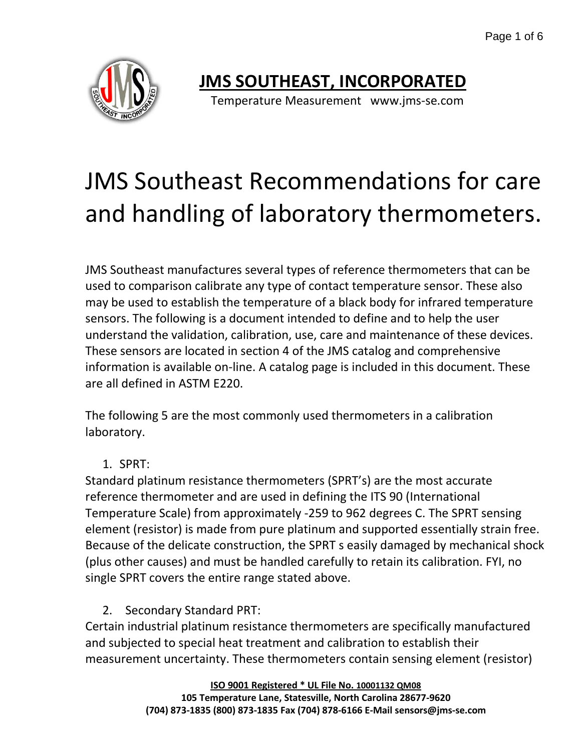Page 1 of 6



# **JMS SOUTHEAST, INCORPORATED**

Temperature Measurement www.jms-se.com

# JMS Southeast Recommendations for care and handling of laboratory thermometers.

JMS Southeast manufactures several types of reference thermometers that can be used to comparison calibrate any type of contact temperature sensor. These also may be used to establish the temperature of a black body for infrared temperature sensors. The following is a document intended to define and to help the user understand the validation, calibration, use, care and maintenance of these devices. These sensors are located in section 4 of the JMS catalog and comprehensive information is available on-line. A catalog page is included in this document. These are all defined in ASTM E220.

The following 5 are the most commonly used thermometers in a calibration laboratory.

1. SPRT:

Standard platinum resistance thermometers (SPRT's) are the most accurate reference thermometer and are used in defining the ITS 90 (International Temperature Scale) from approximately -259 to 962 degrees C. The SPRT sensing element (resistor) is made from pure platinum and supported essentially strain free. Because of the delicate construction, the SPRT s easily damaged by mechanical shock (plus other causes) and must be handled carefully to retain its calibration. FYI, no single SPRT covers the entire range stated above.

2. Secondary Standard PRT:

Certain industrial platinum resistance thermometers are specifically manufactured and subjected to special heat treatment and calibration to establish their measurement uncertainty. These thermometers contain sensing element (resistor)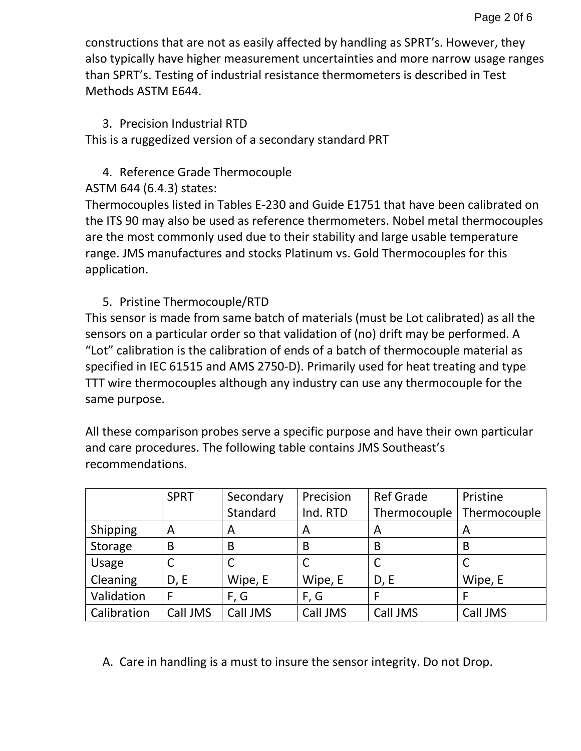constructions that are not as easily affected by handling as SPRT's. However, they also typically have higher measurement uncertainties and more narrow usage ranges than SPRT's. Testing of industrial resistance thermometers is described in Test Methods ASTM E644.

### 3. Precision Industrial RTD

This is a ruggedized version of a secondary standard PRT

### 4. Reference Grade Thermocouple

ASTM 644 (6.4.3) states:

Thermocouples listed in Tables E-230 and Guide E1751 that have been calibrated on the ITS 90 may also be used as reference thermometers. Nobel metal thermocouples are the most commonly used due to their stability and large usable temperature range. JMS manufactures and stocks Platinum vs. Gold Thermocouples for this application.

### 5. Pristine Thermocouple/RTD

This sensor is made from same batch of materials (must be Lot calibrated) as all the sensors on a particular order so that validation of (no) drift may be performed. A "Lot" calibration is the calibration of ends of a batch of thermocouple material as specified in IEC 61515 and AMS 2750-D). Primarily used for heat treating and type TTT wire thermocouples although any industry can use any thermocouple for the same purpose.

All these comparison probes serve a specific purpose and have their own particular and care procedures. The following table contains JMS Southeast's recommendations.

|             | <b>SPRT</b> | Secondary | Precision | <b>Ref Grade</b> | Pristine     |
|-------------|-------------|-----------|-----------|------------------|--------------|
|             |             | Standard  | Ind. RTD  | Thermocouple     | Thermocouple |
| Shipping    | A           | A         | A         | A                | A            |
| Storage     | B           | B         | B         | B                | B            |
| Usage       |             |           |           |                  |              |
| Cleaning    | D, E        | Wipe, E   | Wipe, E   | D, E             | Wipe, E      |
| Validation  | F           | F, G      | F, G      |                  | F            |
| Calibration | Call JMS    | Call JMS  | Call JMS  | Call JMS         | Call JMS     |

A. Care in handling is a must to insure the sensor integrity. Do not Drop.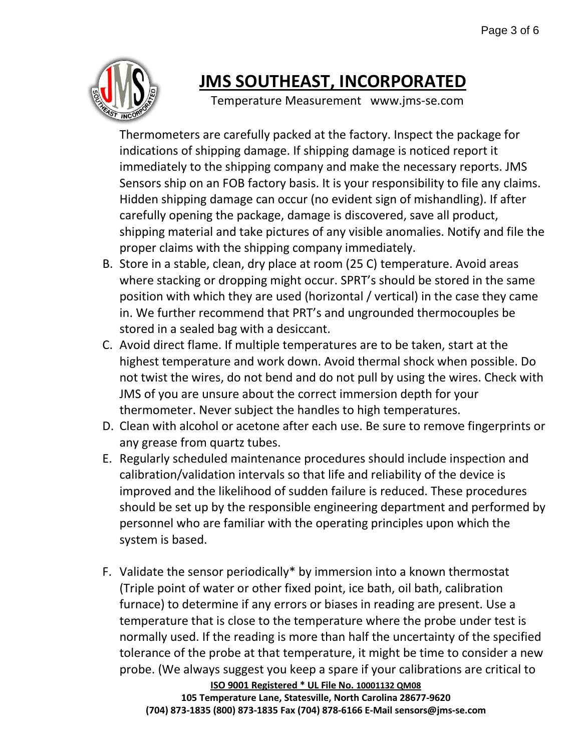

# **JMS SOUTHEAST, INCORPORATED**

Temperature Measurement www.jms-se.com

Thermometers are carefully packed at the factory. Inspect the package for indications of shipping damage. If shipping damage is noticed report it immediately to the shipping company and make the necessary reports. JMS Sensors ship on an FOB factory basis. It is your responsibility to file any claims. Hidden shipping damage can occur (no evident sign of mishandling). If after carefully opening the package, damage is discovered, save all product, shipping material and take pictures of any visible anomalies. Notify and file the proper claims with the shipping company immediately.

- B. Store in a stable, clean, dry place at room (25 C) temperature. Avoid areas where stacking or dropping might occur. SPRT's should be stored in the same position with which they are used (horizontal / vertical) in the case they came in. We further recommend that PRT's and ungrounded thermocouples be stored in a sealed bag with a desiccant.
- C. Avoid direct flame. If multiple temperatures are to be taken, start at the highest temperature and work down. Avoid thermal shock when possible. Do not twist the wires, do not bend and do not pull by using the wires. Check with JMS of you are unsure about the correct immersion depth for your thermometer. Never subject the handles to high temperatures.
- D. Clean with alcohol or acetone after each use. Be sure to remove fingerprints or any grease from quartz tubes.
- E. Regularly scheduled maintenance procedures should include inspection and calibration/validation intervals so that life and reliability of the device is improved and the likelihood of sudden failure is reduced. These procedures should be set up by the responsible engineering department and performed by personnel who are familiar with the operating principles upon which the system is based.
- F. Validate the sensor periodically\* by immersion into a known thermostat (Triple point of water or other fixed point, ice bath, oil bath, calibration furnace) to determine if any errors or biases in reading are present. Use a temperature that is close to the temperature where the probe under test is normally used. If the reading is more than half the uncertainty of the specified tolerance of the probe at that temperature, it might be time to consider a new probe. (We always suggest you keep a spare if your calibrations are critical to

**ISO 9001 Registered \* UL File No. 10001132 QM08 105 Temperature Lane, Statesville, North Carolina 28677-9620 (704) 873-1835 (800) 873-1835 Fax (704) 878-6166 E-Mail sensors@jms-se.com**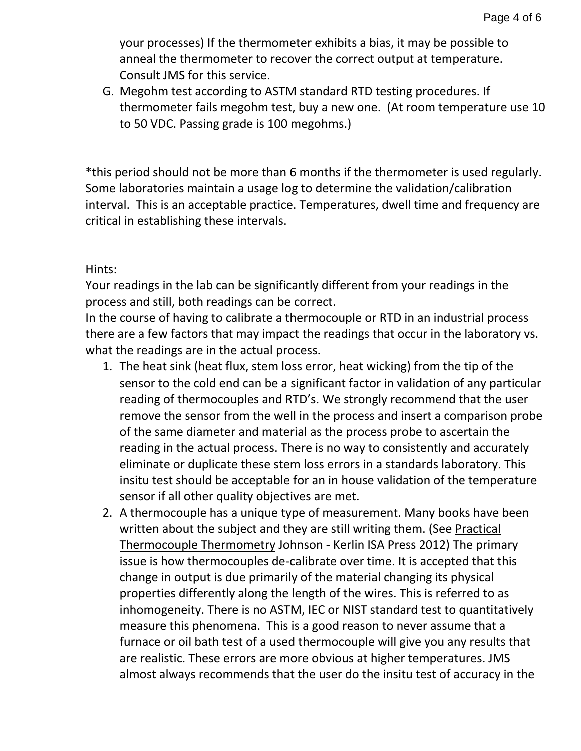your processes) If the thermometer exhibits a bias, it may be possible to anneal the thermometer to recover the correct output at temperature. Consult JMS for this service.

G. Megohm test according to ASTM standard RTD testing procedures. If thermometer fails megohm test, buy a new one. (At room temperature use 10 to 50 VDC. Passing grade is 100 megohms.)

\*this period should not be more than 6 months if the thermometer is used regularly. Some laboratories maintain a usage log to determine the validation/calibration interval. This is an acceptable practice. Temperatures, dwell time and frequency are critical in establishing these intervals.

### Hints:

Your readings in the lab can be significantly different from your readings in the process and still, both readings can be correct.

In the course of having to calibrate a thermocouple or RTD in an industrial process there are a few factors that may impact the readings that occur in the laboratory vs. what the readings are in the actual process.

- 1. The heat sink (heat flux, stem loss error, heat wicking) from the tip of the sensor to the cold end can be a significant factor in validation of any particular reading of thermocouples and RTD's. We strongly recommend that the user remove the sensor from the well in the process and insert a comparison probe of the same diameter and material as the process probe to ascertain the reading in the actual process. There is no way to consistently and accurately eliminate or duplicate these stem loss errors in a standards laboratory. This insitu test should be acceptable for an in house validation of the temperature sensor if all other quality objectives are met.
- 2. A thermocouple has a unique type of measurement. Many books have been written about the subject and they are still writing them. (See Practical Thermocouple Thermometry Johnson - Kerlin ISA Press 2012) The primary issue is how thermocouples de-calibrate over time. It is accepted that this change in output is due primarily of the material changing its physical properties differently along the length of the wires. This is referred to as inhomogeneity. There is no ASTM, IEC or NIST standard test to quantitatively measure this phenomena. This is a good reason to never assume that a furnace or oil bath test of a used thermocouple will give you any results that are realistic. These errors are more obvious at higher temperatures. JMS almost always recommends that the user do the insitu test of accuracy in the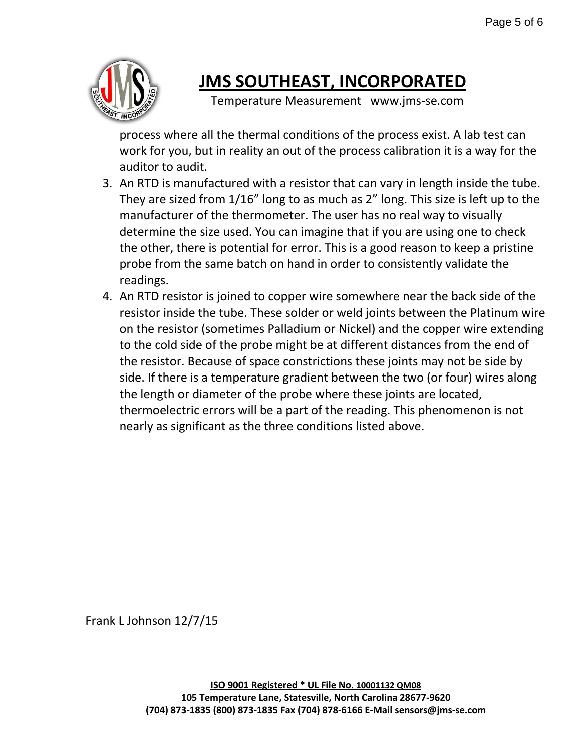

# **JMS SOUTHEAST, INCORPORATED**

Temperature Measurement www.jms-se.com

process where all the thermal conditions of the process exist. A lab test can work for you, but in reality an out of the process calibration it is a way for the auditor to audit.

- 3. An RTD is manufactured with a resistor that can vary in length inside the tube. They are sized from 1/16" long to as much as 2" long. This size is left up to the manufacturer of the thermometer. The user has no real way to visually determine the size used. You can imagine that if you are using one to check the other, there is potential for error. This is a good reason to keep a pristine probe from the same batch on hand in order to consistently validate the readings.
- 4. An RTD resistor is joined to copper wire somewhere near the back side of the resistor inside the tube. These solder or weld joints between the Platinum wire on the resistor (sometimes Palladium or Nickel) and the copper wire extending to the cold side of the probe might be at different distances from the end of the resistor. Because of space constrictions these joints may not be side by side. If there is a temperature gradient between the two (or four) wires along the length or diameter of the probe where these joints are located, thermoelectric errors will be a part of the reading. This phenomenon is not nearly as significant as the three conditions listed above.

Frank L Johnson 12/7/15